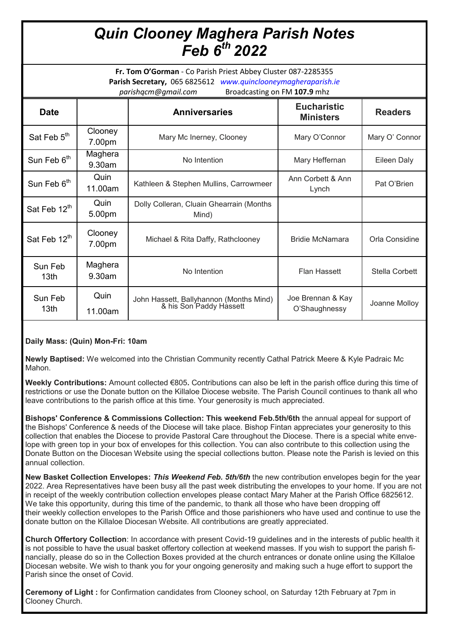## *Quin Clooney Maghera Parish Notes Feb 6th 2022*

**Fr. Tom O'Gorman** - Co Parish Priest Abbey Cluster 087-2285355 **Parish Secretary,** 065 6825612 *www.quinclooneymagheraparish.ie parishqcm@gmail.com* Broadcasting on FM **107.9** mhz

| <b>Date</b>                 |                   | <b>Anniversaries</b>                                               | <b>Eucharistic</b><br><b>Ministers</b> | <b>Readers</b> |  |
|-----------------------------|-------------------|--------------------------------------------------------------------|----------------------------------------|----------------|--|
| Sat Feb 5 <sup>th</sup>     | Clooney<br>7.00pm | Mary Mc Inerney, Clooney                                           | Mary O'Connor                          | Mary O' Connor |  |
| Sun Feb 6 <sup>th</sup>     | Maghera<br>9.30am | No Intention                                                       | Mary Heffernan                         | Eileen Daly    |  |
| Sun Feb 6 <sup>th</sup>     | Quin<br>11.00am   | Kathleen & Stephen Mullins, Carrowmeer                             | Ann Corbett & Ann<br>Lynch             | Pat O'Brien    |  |
| Sat Feb 12 <sup>th</sup>    | Quin<br>5.00pm    | Dolly Colleran, Cluain Ghearrain (Months<br>Mind)                  |                                        |                |  |
| Sat Feb 12th                | Clooney<br>7.00pm | Michael & Rita Daffy, Rathclooney                                  | <b>Bridie McNamara</b>                 | Orla Considine |  |
| Sun Feb<br>13 <sub>th</sub> | Maghera<br>9.30am | No Intention                                                       | <b>Flan Hassett</b>                    | Stella Corbett |  |
| Sun Feb<br>13 <sub>th</sub> | Quin<br>11.00am   | John Hassett, Ballyhannon (Months Mind)<br>& his Son Paddy Hassett | Joe Brennan & Kay<br>O'Shaughnessy     | Joanne Molloy  |  |

## **Daily Mass: (Quin) Mon-Fri: 10am**

**Newly Baptised:** We welcomed into the Christian Community recently Cathal Patrick Meere & Kyle Padraic Mc Mahon.

**Weekly Contributions:** Amount collected €805**.** Contributions can also be left in the parish office during this time of restrictions or use the Donate button on the Killaloe Diocese website. The Parish Council continues to thank all who leave contributions to the parish office at this time. Your generosity is much appreciated.

**Bishops' Conference & Commissions Collection: This weekend Feb.5th/6th** the annual appeal for support of the Bishops' Conference & needs of the Diocese will take place. Bishop Fintan appreciates your generosity to this collection that enables the Diocese to provide Pastoral Care throughout the Diocese. There is a special white envelope with green top in your box of envelopes for this collection. You can also contribute to this collection using the Donate Button on the Diocesan Website using the special collections button. Please note the Parish is levied on this annual collection.

**New Basket Collection Envelopes:** *This Weekend Feb. 5th/6th* the new contribution envelopes begin for the year 2022. Area Representatives have been busy all the past week distributing the envelopes to your home. If you are not in receipt of the weekly contribution collection envelopes please contact Mary Maher at the Parish Office 6825612. We take this opportunity, during this time of the pandemic, to thank all those who have been dropping off their weekly collection envelopes to the Parish Office and those parishioners who have used and continue to use the donate button on the Killaloe Diocesan Website. All contributions are greatly appreciated.

**Church Offertory Collection**: In accordance with present Covid-19 guidelines and in the interests of public health it is not possible to have the usual basket offertory collection at weekend masses. If you wish to support the parish financially, please do so in the Collection Boxes provided at the church entrances or donate online using the Killaloe Diocesan website. We wish to thank you for your ongoing generosity and making such a huge effort to support the Parish since the onset of Covid.

**Ceremony of Light :** for Confirmation candidates from Clooney school, on Saturday 12th February at 7pm in Clooney Church.